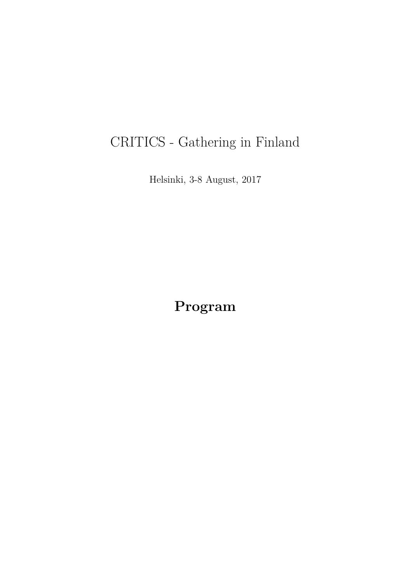# CRITICS - Gathering in Finland

Helsinki, 3-8 August, 2017

**Program**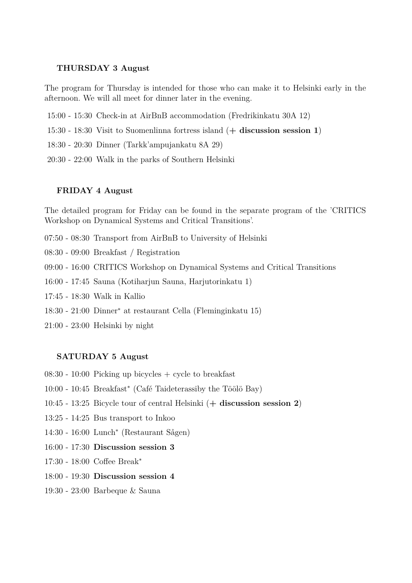### **THURSDAY 3 August**

The program for Thursday is intended for those who can make it to Helsinki early in the afternoon. We will all meet for dinner later in the evening.

- 15:00 15:30 Check-in at AirBnB accommodation (Fredrikinkatu 30A 12)
- 15:30 18:30 Visit to Suomenlinna fortress island (**+ discussion session 1**)
- 18:30 20:30 Dinner (Tarkk'ampujankatu 8A 29)
- 20:30 22:00 Walk in the parks of Southern Helsinki

## **FRIDAY 4 August**

The detailed program for Friday can be found in the separate program of the 'CRITICS Workshop on Dynamical Systems and Critical Transitions'.

- 07:50 08:30 Transport from AirBnB to University of Helsinki
- 08:30 09:00 Breakfast / Registration
- 09:00 16:00 CRITICS Workshop on Dynamical Systems and Critical Transitions
- 16:00 17:45 Sauna (Kotiharjun Sauna, Harjutorinkatu 1)
- 17:45 18:30 Walk in Kallio
- 18:30 21:00 Dinner<sup>∗</sup> at restaurant Cella (Fleminginkatu 15)
- 21:00 23:00 Helsinki by night

#### **SATURDAY 5 August**

- $08:30 10:00$  Picking up bicycles  $+$  cycle to breakfast
- 10:00 10:45 Breakfast<sup>∗</sup> (Café Taideterassiby the Töölö Bay)
- 10:45 13:25 Bicycle tour of central Helsinki (**+ discussion session 2**)
- 13:25 14:25 Bus transport to Inkoo
- 14:30 16:00 Lunch<sup>∗</sup> (Restaurant Sågen)
- 16:00 17:30 **Discussion session 3**
- 17:30 18:00 Coffee Break<sup>∗</sup>
- 18:00 19:30 **Discussion session 4**
- 19:30 23:00 Barbeque & Sauna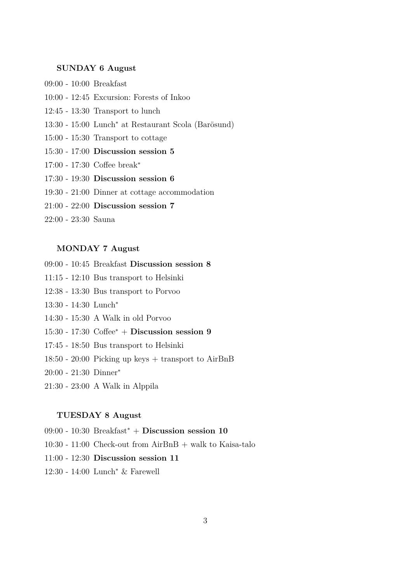## **SUNDAY 6 August**

- 09:00 10:00 Breakfast
- 10:00 12:45 Excursion: Forests of Inkoo
- 12:45 13:30 Transport to lunch
- 13:30 15:00 Lunch<sup>∗</sup> at Restaurant Scola (Barösund)
- 15:00 15:30 Transport to cottage
- 15:30 17:00 **Discussion session 5**
- 17:00 17:30 Coffee break<sup>∗</sup>
- 17:30 19:30 **Discussion session 6**
- 19:30 21:00 Dinner at cottage accommodation
- 21:00 22:00 **Discussion session 7**
- 22:00 23:30 Sauna

# **MONDAY 7 August**

- 09:00 10:45 Breakfast **Discussion session 8**
- 11:15 12:10 Bus transport to Helsinki
- 12:38 13:30 Bus transport to Porvoo
- 13:30 14:30 Lunch<sup>∗</sup>
- 14:30 15:30 A Walk in old Porvoo
- 15:30 17:30 Coffee<sup>∗</sup> + **Discussion session 9**
- 17:45 18:50 Bus transport to Helsinki
- 18:50 20:00 Picking up keys + transport to AirBnB
- 20:00 21:30 Dinner<sup>∗</sup>
- 21:30 23:00 A Walk in Alppila

# **TUESDAY 8 August**

- 09:00 10:30 Breakfast<sup>∗</sup> + **Discussion session 10**
- $10:30 11:00$  Check-out from AirBnB + walk to Kaisa-talo
- 11:00 12:30 **Discussion session 11**
- 12:30 14:00 Lunch<sup>∗</sup> & Farewell